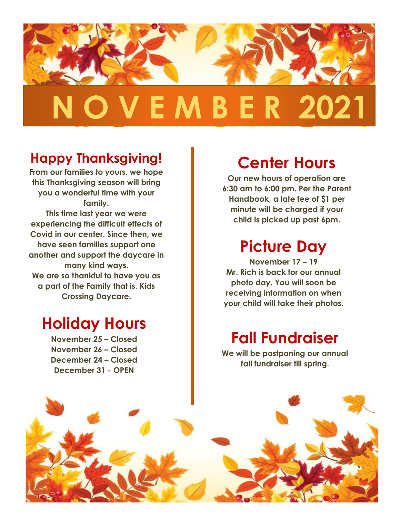

#### **Happy Thanksgiving!**

**From our families to yours, we hope this Thanksgiving season will bring you a wonderful time with your family. This time last year we were experiencing the difficult effects of Covid in our center. Since then, we have seen families support one another and support the daycare in many kind ways. We are so thankful to have you as a part of the Family that is, Kids Crossing Daycare.**

#### **Holiday Hours**

**November 25 – Closed November 26 – Closed December 24 – Closed December 31 - OPEN**

## **Center Hours**

**Our new hours of operation are 6:30 am to 6:00 pm. Per the Parent Handbook, a late fee of \$1 per minute will be charged if your child is picked up past 6pm.** 

## **Picture Day**

**November 17 – 19 Mr. Rich is back for our annual photo day. You will soon be receiving information on when your child will take their photos.**

#### **Fall Fundraiser**

**We will be postponing our annual fall fundraiser till spring.**